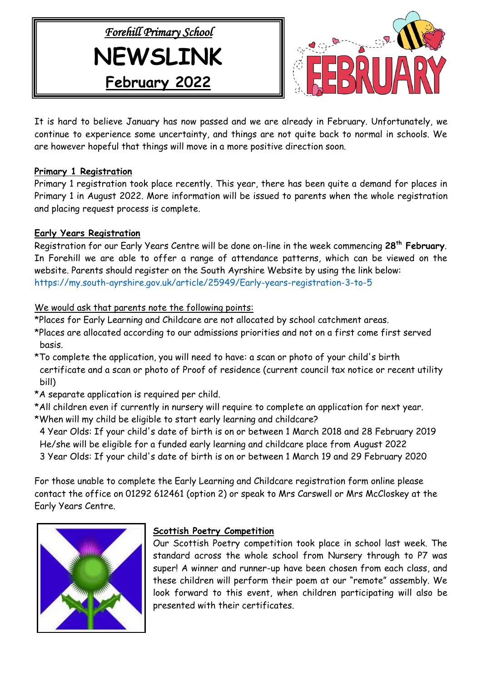



It is hard to believe January has now passed and we are already in February. Unfortunately, we continue to experience some uncertainty, and things are not quite back to normal in schools. We are however hopeful that things will move in a more positive direction soon.

## **Primary 1 Registration**

Primary 1 registration took place recently. This year, there has been quite a demand for places in Primary 1 in August 2022. More information will be issued to parents when the whole registration and placing request process is complete.

# **Early Years Registration**

Registration for our Early Years Centre will be done on-line in the week commencing **28th February**. In Forehill we are able to offer a range of attendance patterns, which can be viewed on the website. Parents should register on the South Ayrshire Website by using the link below: <https://my.south-ayrshire.gov.uk/article/25949/Early-years-registration-3-to-5>

# We would ask that parents note the following points:

\*Places for Early Learning and Childcare are not allocated by school catchment areas.

- \*Places are allocated according to our admissions priorities and not on a first come first served basis.
- \*To complete the application, you will need to have: a scan or photo of your child's birth certificate and a scan or photo of Proof of residence (current council tax notice or recent utility bill)
- \*A separate application is required per child.
- \*All children even if currently in nursery will require to complete an application for next year.
- \*When will my child be eligible to start early learning and childcare?
- 4 Year Olds: If your child's date of birth is on or between 1 March 2018 and 28 February 2019 He/she will be eligible for a funded early learning and childcare place from August 2022 3 Year Olds: If your child's date of birth is on or between 1 March 19 and 29 February 2020

For those unable to complete the Early Learning and Childcare registration form online please contact the office on 01292 612461 (option 2) or speak to Mrs Carswell or Mrs McCloskey at the Early Years Centre.



# **Scottish Poetry Competition**

Our Scottish Poetry competition took place in school last week. The standard across the whole school from Nursery through to P7 was super! A winner and runner-up have been chosen from each class, and these children will perform their poem at our "remote" assembly. We look forward to this event, when children participating will also be presented with their certificates.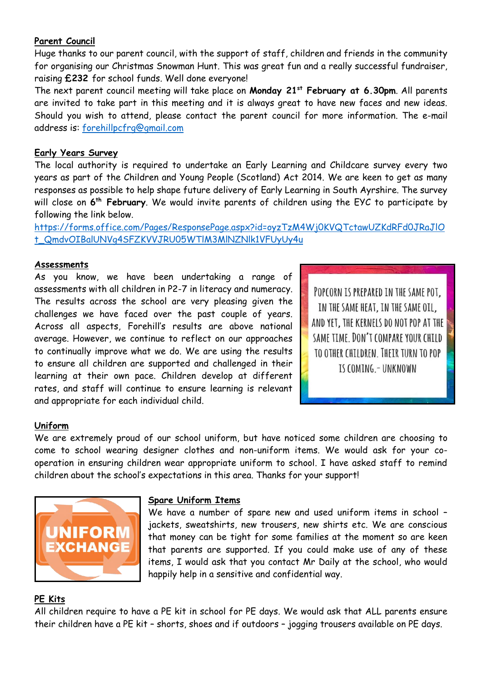# **Parent Council**

Huge thanks to our parent council, with the support of staff, children and friends in the community for organising our Christmas Snowman Hunt. This was great fun and a really successful fundraiser, raising **£232** for school funds. Well done everyone!

The next parent council meeting will take place on **Monday 21st February at 6.30pm**. All parents are invited to take part in this meeting and it is always great to have new faces and new ideas. Should you wish to attend, please contact the parent council for more information. The e-mail address is: [forehillpcfrg@gmail.com](mailto:forehillpcfrg@gmail.com)

## **Early Years Survey**

The local authority is required to undertake an Early Learning and Childcare survey every two years as part of the Children and Young People (Scotland) Act 2014. We are keen to get as many responses as possible to help shape future delivery of Early Learning in South Ayrshire. The survey will close on **6 th February**. We would invite parents of children using the EYC to participate by following the link below.

[https://forms.office.com/Pages/ResponsePage.aspx?id=oyzTzM4Wj0KVQTctawUZKdRFd0JRaJlO](https://forms.office.com/Pages/ResponsePage.aspx?id=oyzTzM4Wj0KVQTctawUZKdRFd0JRaJlOt_QmdvOIBalUNVg4SFZKVVJRU05WTlM3MlNZNlk1VFUyUy4u) [t\\_QmdvOIBalUNVg4SFZKVVJRU05WTlM3MlNZNlk1VFUyUy4u](https://forms.office.com/Pages/ResponsePage.aspx?id=oyzTzM4Wj0KVQTctawUZKdRFd0JRaJlOt_QmdvOIBalUNVg4SFZKVVJRU05WTlM3MlNZNlk1VFUyUy4u)

## **Assessments**

As you know, we have been undertaking a range of assessments with all children in P2-7 in literacy and numeracy. The results across the school are very pleasing given the challenges we have faced over the past couple of years. Across all aspects, Forehill's results are above national average. However, we continue to reflect on our approaches to continually improve what we do. We are using the results to ensure all children are supported and challenged in their learning at their own pace. Children develop at different rates, and staff will continue to ensure learning is relevant and appropriate for each individual child.

POPCORN IS PREPARED IN THE SAME POT. IN THE SAME HEAT, IN THE SAME OIL, AND YET. THE KERNELS DO NOT POP AT THE SAME TIME, DON'T COMPARE YOUR CHILD TO OTHER CHILDREN. THEIR TURN TO POP IS COMING. - UNKNOWN

#### **Uniform**

We are extremely proud of our school uniform, but have noticed some children are choosing to come to school wearing designer clothes and non-uniform items. We would ask for your cooperation in ensuring children wear appropriate uniform to school. I have asked staff to remind children about the school's expectations in this area. Thanks for your support!



#### **Spare Uniform Items**

We have a number of spare new and used uniform items in school – jackets, sweatshirts, new trousers, new shirts etc. We are conscious that money can be tight for some families at the moment so are keen that parents are supported. If you could make use of any of these items, I would ask that you contact Mr Daily at the school, who would happily help in a sensitive and confidential way.

# **PE Kits**

All children require to have a PE kit in school for PE days. We would ask that ALL parents ensure their children have a PE kit – shorts, shoes and if outdoors – jogging trousers available on PE days.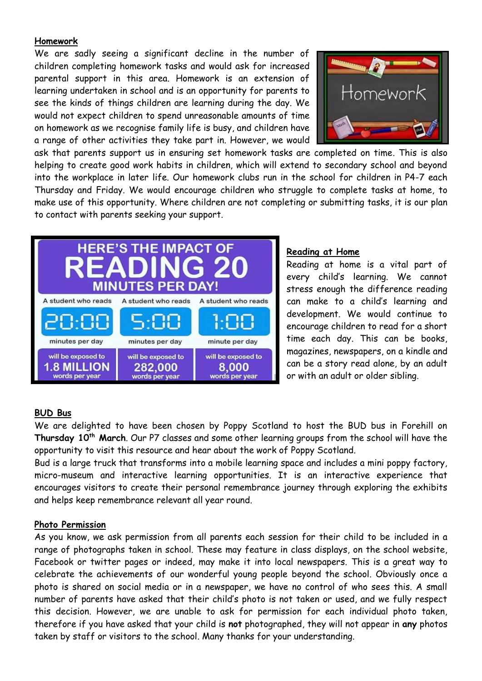## **Homework**

We are sadly seeing a significant decline in the number of children completing homework tasks and would ask for increased parental support in this area. Homework is an extension of learning undertaken in school and is an opportunity for parents to see the kinds of things children are learning during the day. We would not expect children to spend unreasonable amounts of time on homework as we recognise family life is busy, and children have a range of other activities they take part in. However, we would



ask that parents support us in ensuring set homework tasks are completed on time. This is also helping to create good work habits in children, which will extend to secondary school and beyond into the workplace in later life. Our homework clubs run in the school for children in P4-7 each Thursday and Friday. We would encourage children who struggle to complete tasks at home, to make use of this opportunity. Where children are not completing or submitting tasks, it is our plan to contact with parents seeking your support.



## **Reading at Home**

Reading at home is a vital part of every child's learning. We cannot stress enough the difference reading can make to a child's learning and development. We would continue to encourage children to read for a short time each day. This can be books, magazines, newspapers, on a kindle and can be a story read alone, by an adult or with an adult or older sibling.

# **BUD Bus**

We are delighted to have been chosen by Poppy Scotland to host the BUD bus in Forehill on **Thursday 10th March**. Our P7 classes and some other learning groups from the school will have the opportunity to visit this resource and hear about the work of Poppy Scotland.

Bud is a large truck that transforms into a mobile learning space and includes a mini poppy factory, micro-museum and interactive learning opportunities. It is an interactive experience that encourages visitors to create their personal remembrance journey through exploring the exhibits and helps keep remembrance relevant all year round.

# **Photo Permission**

As you know, we ask permission from all parents each session for their child to be included in a range of photographs taken in school. These may feature in class displays, on the school website, Facebook or twitter pages or indeed, may make it into local newspapers. This is a great way to celebrate the achievements of our wonderful young people beyond the school. Obviously once a photo is shared on social media or in a newspaper, we have no control of who sees this. A small number of parents have asked that their child's photo is not taken or used, and we fully respect this decision. However, we are unable to ask for permission for each individual photo taken, therefore if you have asked that your child is **not** photographed, they will not appear in **any** photos taken by staff or visitors to the school. Many thanks for your understanding.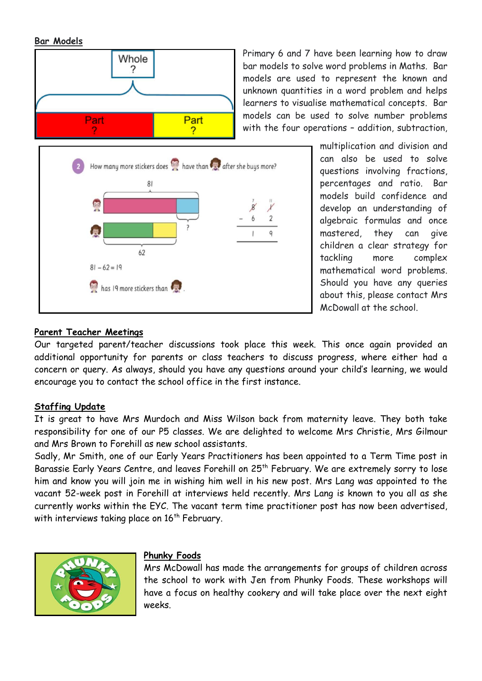#### **Bar Models**



Primary 6 and 7 have been learning how to draw bar models to solve word problems in Maths. Bar models are used to represent the known and unknown quantities in a word problem and helps learners to visualise mathematical concepts. Bar models can be used to solve number problems with the four operations – addition, subtraction,

> multiplication and division and can also be used to solve questions involving fractions, percentages and ratio. Bar models build confidence and develop an understanding of algebraic formulas and once mastered, they can give children a clear strategy for tackling more complex mathematical word problems. Should you have any queries about this, please contact Mrs McDowall at the school.

#### **Parent Teacher Meetings**

Our targeted parent/teacher discussions took place this week. This once again provided an additional opportunity for parents or class teachers to discuss progress, where either had a concern or query. As always, should you have any questions around your child's learning, we would encourage you to contact the school office in the first instance.

#### **Staffing Update**

It is great to have Mrs Murdoch and Miss Wilson back from maternity leave. They both take responsibility for one of our P5 classes. We are delighted to welcome Mrs Christie, Mrs Gilmour and Mrs Brown to Forehill as new school assistants.

Sadly, Mr Smith, one of our Early Years Practitioners has been appointed to a Term Time post in Barassie Early Years Centre, and leaves Forehill on 25th February. We are extremely sorry to lose him and know you will join me in wishing him well in his new post. Mrs Lang was appointed to the vacant 52-week post in Forehill at interviews held recently. Mrs Lang is known to you all as she currently works within the EYC. The vacant term time practitioner post has now been advertised, with interviews taking place on  $16<sup>th</sup>$  February.



#### **Phunky Foods**

Mrs McDowall has made the arrangements for groups of children across the school to work with Jen from Phunky Foods. These workshops will have a focus on healthy cookery and will take place over the next eight weeks.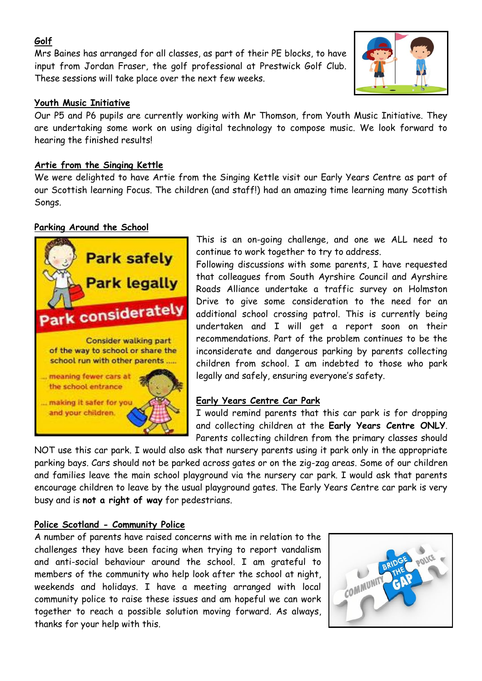# **Golf**

Mrs Baines has arranged for all classes, as part of their PE blocks, to have input from Jordan Fraser, the golf professional at Prestwick Golf Club. These sessions will take place over the next few weeks.



## **Youth Music Initiative**

Our P5 and P6 pupils are currently working with Mr Thomson, from Youth Music Initiative. They are undertaking some work on using digital technology to compose music. We look forward to hearing the finished results!

## **Artie from the Singing Kettle**

We were delighted to have Artie from the Singing Kettle visit our Early Years Centre as part of our Scottish learning Focus. The children (and staff!) had an amazing time learning many Scottish Songs.

## **Parking Around the School**



This is an on-going challenge, and one we ALL need to continue to work together to try to address.

Following discussions with some parents, I have requested that colleagues from South Ayrshire Council and Ayrshire Roads Alliance undertake a traffic survey on Holmston Drive to give some consideration to the need for an additional school crossing patrol. This is currently being undertaken and I will get a report soon on their recommendations. Part of the problem continues to be the inconsiderate and dangerous parking by parents collecting children from school. I am indebted to those who park legally and safely, ensuring everyone's safety.

#### **Early Years Centre Car Park**

I would remind parents that this car park is for dropping and collecting children at the **Early Years Centre ONLY**. Parents collecting children from the primary classes should

NOT use this car park. I would also ask that nursery parents using it park only in the appropriate parking bays. Cars should not be parked across gates or on the zig-zag areas. Some of our children and families leave the main school playground via the nursery car park. I would ask that parents encourage children to leave by the usual playground gates. The Early Years Centre car park is very busy and is **not a right of way** for pedestrians.

# **Police Scotland - Community Police**

A number of parents have raised concerns with me in relation to the challenges they have been facing when trying to report vandalism and anti-social behaviour around the school. I am grateful to members of the community who help look after the school at night, weekends and holidays. I have a meeting arranged with local community police to raise these issues and am hopeful we can work together to reach a possible solution moving forward. As always, thanks for your help with this.

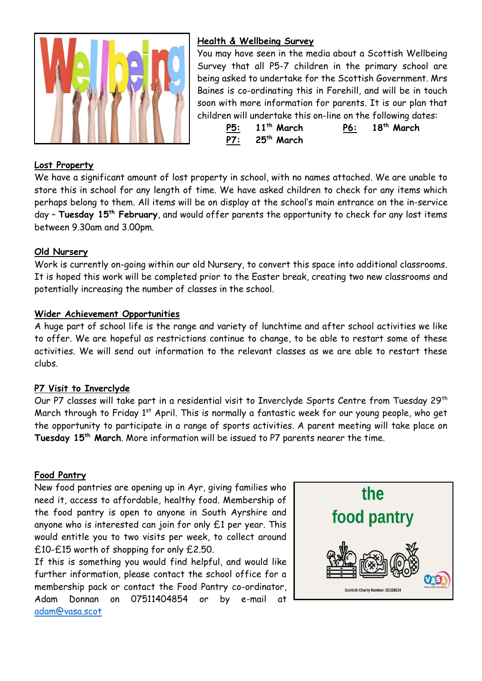

## **Health & Wellbeing Survey**

You may have seen in the media about a Scottish Wellbeing Survey that all P5-7 children in the primary school are being asked to undertake for the Scottish Government. Mrs Baines is co-ordinating this in Forehill, and will be in touch soon with more information for parents. It is our plan that children will undertake this on-line on the following dates:

**P5: 11th March P6: 18th March P7: 25th March**

#### **Lost Property**

We have a significant amount of lost property in school, with no names attached. We are unable to store this in school for any length of time. We have asked children to check for any items which perhaps belong to them. All items will be on display at the school's main entrance on the in-service day – **Tuesday 15th February**, and would offer parents the opportunity to check for any lost items between 9.30am and 3.00pm.

#### **Old Nursery**

Work is currently on-going within our old Nursery, to convert this space into additional classrooms. It is hoped this work will be completed prior to the Easter break, creating two new classrooms and potentially increasing the number of classes in the school.

#### **Wider Achievement Opportunities**

A huge part of school life is the range and variety of lunchtime and after school activities we like to offer. We are hopeful as restrictions continue to change, to be able to restart some of these activities. We will send out information to the relevant classes as we are able to restart these clubs.

#### **P7 Visit to Inverclyde**

Our P7 classes will take part in a residential visit to Inverclyde Sports Centre from Tuesday 29<sup>th</sup> March through to Friday 1<sup>st</sup> April. This is normally a fantastic week for our young people, who get the opportunity to participate in a range of sports activities. A parent meeting will take place on **Tuesday 15th March**. More information will be issued to P7 parents nearer the time.

#### **Food Pantry**

New food pantries are opening up in Ayr, giving families who need it, access to affordable, healthy food. Membership of the food pantry is open to anyone in South Ayrshire and anyone who is interested can join for only £1 per year. This would entitle you to two visits per week, to collect around £10-£15 worth of shopping for only £2.50.

If this is something you would find helpful, and would like further information, please contact the school office for a membership pack or contact the Food Pantry co-ordinator, Adam Donnan on 07511404854 or by e-mail at [adam@vasa.scot](mailto:adam@vasa.scot)

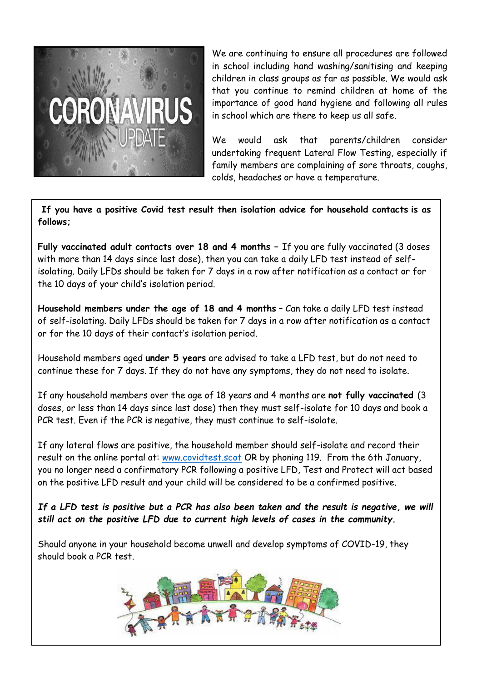

We are continuing to ensure all procedures are followed in school including hand washing/sanitising and keeping children in class groups as far as possible. We would ask that you continue to remind children at home of the importance of good hand hygiene and following all rules in school which are there to keep us all safe.

We would ask that parents/children consider undertaking frequent Lateral Flow Testing, especially if family members are complaining of sore throats, coughs, colds, headaches or have a temperature.

**If you have a positive Covid test result then isolation advice for household contacts is as follows;**

**Fully vaccinated adult contacts over 18 and 4 months –** If you are fully vaccinated (3 doses with more than 14 days since last dose), then you can take a daily LFD test instead of selfisolating. Daily LFDs should be taken for 7 days in a row after notification as a contact or for the 10 days of your child's isolation period.

**Household members under the age of 18 and 4 months** – Can take a daily LFD test instead of self-isolating. Daily LFDs should be taken for 7 days in a row after notification as a contact or for the 10 days of their contact's isolation period.

Household members aged **under 5 years** are advised to take a LFD test, but do not need to continue these for 7 days. If they do not have any symptoms, they do not need to isolate.

If any household members over the age of 18 years and 4 months are **not fully vaccinated** (3 doses, or less than 14 days since last dose) then they must self-isolate for 10 days and book a PCR test. Even if the PCR is negative, they must continue to self-isolate.

If any lateral flows are positive, the household member should self-isolate and record their result on the online portal at: www.covidtest.scot OR by phoning 119. From the 6th January, you no longer need a confirmatory PCR following a positive LFD, Test and Protect will act based on the positive LFD result and your child will be considered to be a confirmed positive.

*If a LFD test is positive but a PCR has also been taken and the result is negative, we will still act on the positive LFD due to current high levels of cases in the community.*

Should anyone in your household become unwell and develop symptoms of COVID-19, they should book a PCR test.

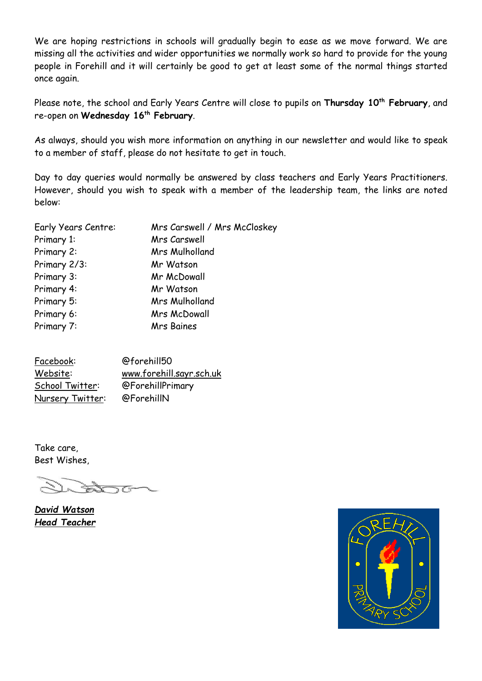We are hoping restrictions in schools will gradually begin to ease as we move forward. We are missing all the activities and wider opportunities we normally work so hard to provide for the young people in Forehill and it will certainly be good to get at least some of the normal things started once again.

Please note, the school and Early Years Centre will close to pupils on **Thursday 10th February**, and re-open on **Wednesday 16th February**.

As always, should you wish more information on anything in our newsletter and would like to speak to a member of staff, please do not hesitate to get in touch.

Day to day queries would normally be answered by class teachers and Early Years Practitioners. However, should you wish to speak with a member of the leadership team, the links are noted below:

| Mrs Carswell / Mrs McCloskey |
|------------------------------|
| Mrs Carswell                 |
| Mrs Mulholland               |
| Mr Watson                    |
| Mr McDowall                  |
| Mr Watson                    |
| Mrs Mulholland               |
| <b>Mrs McDowall</b>          |
| <b>Mrs Baines</b>            |
|                              |

Facebook: @forehill50 Website: [www.forehill.sayr.sch.uk](http://www.forehill.sayr.sch.uk/) School Twitter: @ForehillPrimary Nursery Twitter: @ForehillN

Take care, Best Wishes,

*David Watson Head Teacher*